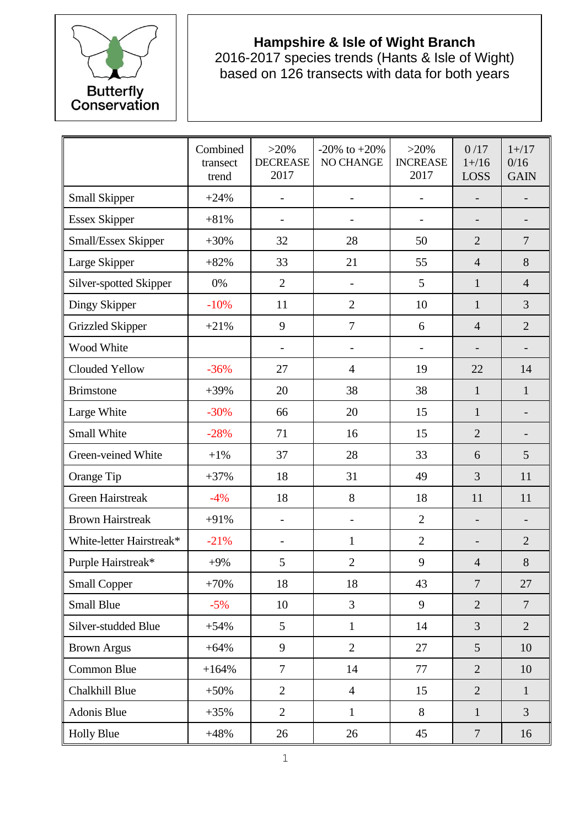

## **Hampshire & Isle of Wight Branch**

2016-2017 species trends (Hants & Isle of Wight) based on 126 transects with data for both years

|                          | Combined<br>transect<br>trend | $>20\%$<br><b>DECREASE</b><br>2017 | $-20\%$ to $+20\%$<br>NO CHANGE | $>20\%$<br><b>INCREASE</b><br>2017 | 0/17<br>$1 + / 16$<br>LOSS | $1 + / 17$<br>0/16<br><b>GAIN</b> |
|--------------------------|-------------------------------|------------------------------------|---------------------------------|------------------------------------|----------------------------|-----------------------------------|
| <b>Small Skipper</b>     | $+24%$                        |                                    | $\overline{\phantom{0}}$        |                                    |                            |                                   |
| <b>Essex Skipper</b>     | $+81%$                        | $\overline{a}$                     |                                 | $\overline{a}$                     |                            |                                   |
| Small/Essex Skipper      | $+30%$                        | 32                                 | 28                              | 50                                 | $\overline{2}$             | $\overline{7}$                    |
| Large Skipper            | $+82%$                        | 33                                 | 21                              | 55                                 | $\overline{4}$             | 8                                 |
| Silver-spotted Skipper   | 0%                            | $\overline{2}$                     | $\overline{\phantom{0}}$        | 5                                  | $\mathbf{1}$               | $\overline{4}$                    |
| Dingy Skipper            | $-10%$                        | 11                                 | $\overline{2}$                  | 10                                 | $\mathbf{1}$               | 3                                 |
| Grizzled Skipper         | $+21%$                        | 9                                  | $\overline{7}$                  | 6                                  | $\overline{4}$             | $\overline{2}$                    |
| Wood White               |                               | $\overline{\phantom{a}}$           | $\overline{\phantom{0}}$        | $\overline{\phantom{0}}$           |                            | -                                 |
| Clouded Yellow           | $-36%$                        | 27                                 | $\overline{4}$                  | 19                                 | 22                         | 14                                |
| <b>Brimstone</b>         | $+39%$                        | 20                                 | 38                              | 38                                 | $\mathbf{1}$               | $\mathbf{1}$                      |
| Large White              | $-30%$                        | 66                                 | 20                              | 15                                 | $\mathbf{1}$               |                                   |
| <b>Small White</b>       | $-28%$                        | 71                                 | 16                              | 15                                 | $\overline{2}$             |                                   |
| Green-veined White       | $+1%$                         | 37                                 | 28                              | 33                                 | 6                          | 5                                 |
| Orange Tip               | $+37%$                        | 18                                 | 31                              | 49                                 | 3                          | 11                                |
| <b>Green Hairstreak</b>  | $-4%$                         | 18                                 | 8                               | 18                                 | 11                         | 11                                |
| <b>Brown Hairstreak</b>  | $+91%$                        |                                    | $\overline{a}$                  | $\overline{2}$                     |                            |                                   |
| White-letter Hairstreak* | $-21%$                        |                                    | 1                               | $\overline{2}$                     |                            | $\overline{2}$                    |
| Purple Hairstreak*       | $+9%$                         | 5                                  | $\overline{2}$                  | 9                                  | $\overline{4}$             | 8                                 |
| <b>Small Copper</b>      | $+70%$                        | 18                                 | 18                              | 43                                 | $\overline{7}$             | 27                                |
| <b>Small Blue</b>        | $-5%$                         | 10                                 | 3                               | 9                                  | $\overline{2}$             | $\overline{7}$                    |
| Silver-studded Blue      | $+54%$                        | 5                                  | $\mathbf{1}$                    | 14                                 | 3                          | $\overline{2}$                    |
| <b>Brown Argus</b>       | $+64%$                        | 9                                  | $\overline{2}$                  | 27                                 | $5\overline{)}$            | 10                                |
| Common Blue              | $+164%$                       | $\overline{7}$                     | 14                              | 77                                 | $\overline{2}$             | 10                                |
| Chalkhill Blue           | $+50%$                        | $\overline{2}$                     | $\overline{4}$                  | 15                                 | $\overline{2}$             | $\mathbf{1}$                      |
| Adonis Blue              | $+35%$                        | $\overline{2}$                     | $\mathbf{1}$                    | 8                                  | $\mathbf{1}$               | $\overline{3}$                    |
| <b>Holly Blue</b>        | $+48%$                        | 26                                 | 26                              | 45                                 | $\overline{7}$             | 16                                |